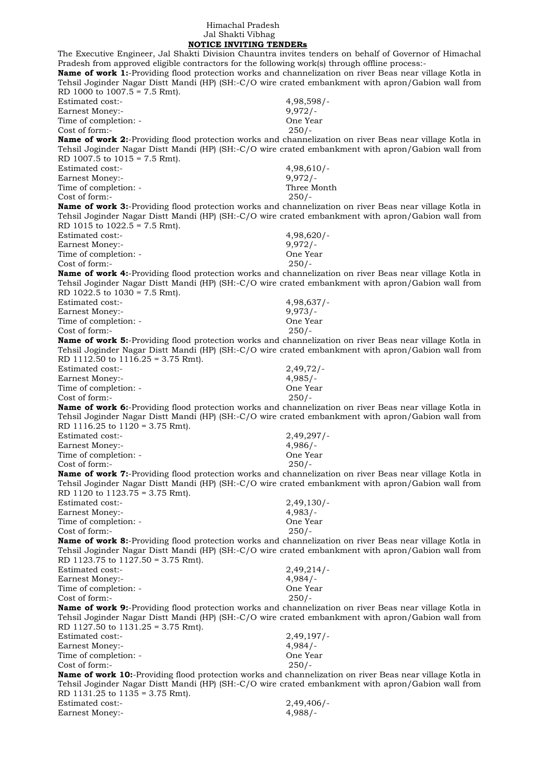## Himachal Pradesh Jal Shakti Vibhag

 **NOTICE INVITING TENDERs** The Executive Engineer, Jal Shakti Division Chauntra invites tenders on behalf of Governor of Himachal Pradesh from approved eligible contractors for the following work(s) through offline process:- **Name of work 1:**-Providing flood protection works and channelization on river Beas near village Kotla in Tehsil Joginder Nagar Distt Mandi (HP) (SH:-C/O wire crated embankment with apron/Gabion wall from RD 1000 to 1007.5 = 7.5 Rmt). Estimated cost:- 4,98,598/- Earnest Money:- 9,972/-Time of completion: - One Year Cost of form:- 250/- **Name of work 2:**-Providing flood protection works and channelization on river Beas near village Kotla in Tehsil Joginder Nagar Distt Mandi (HP) (SH:-C/O wire crated embankment with apron/Gabion wall from RD 1007.5 to 1015 = 7.5 Rmt). Estimated cost:- 4,98,610/- Earnest Money:- 9,972/-Time of completion: - Three Month Cost of form:- 250/- **Name of work 3:**-Providing flood protection works and channelization on river Beas near village Kotla in Tehsil Joginder Nagar Distt Mandi (HP) (SH:-C/O wire crated embankment with apron/Gabion wall from RD 1015 to 1022.5 = 7.5 Rmt). Estimated cost:- 4,98,620/- Earnest Money:- 9,972/-Time of completion: - Completion: - Completion: - Completion: - Completion: - Completion: - Completion: - Completion: - Completion: - Completion: - Completion: - Completion: - Completion: - Completion: - Completion: - Comp Cost of form:- 250/- **Name of work 4:**-Providing flood protection works and channelization on river Beas near village Kotla in Tehsil Joginder Nagar Distt Mandi (HP) (SH:-C/O wire crated embankment with apron/Gabion wall from RD 1022.5 to  $1030 = 7.5$  Rmt). Estimated cost:- 4,98,637/- Earnest Money:- 9,973/-Time of completion: - One Year Cost of form:- 250/- **Name of work 5:**-Providing flood protection works and channelization on river Beas near village Kotla in Tehsil Joginder Nagar Distt Mandi (HP) (SH:-C/O wire crated embankment with apron/Gabion wall from RD 1112.50 to 1116.25 = 3.75 Rmt). Estimated cost:- 2,49,72/- Earnest Money:- 4,985/-Time of completion: - One Year Cost of form:- 250/- **Name of work 6:**-Providing flood protection works and channelization on river Beas near village Kotla in Tehsil Joginder Nagar Distt Mandi (HP) (SH:-C/O wire crated embankment with apron/Gabion wall from RD 1116.25 to 1120 = 3.75 Rmt). Estimated cost:- 2,49,297/- Earnest Money:- 4,986/-Time of completion: - Completion: - Completion: - Completion: - Completion: - Completion: - Completion: - Completion: - Completion: - Completion: - Completion: - Completion: - Completion: - Completion: - Completion: - Comp Cost of form:- 250/- **Name of work 7:**-Providing flood protection works and channelization on river Beas near village Kotla in Tehsil Joginder Nagar Distt Mandi (HP) (SH:-C/O wire crated embankment with apron/Gabion wall from RD 1120 to 1123.75 = 3.75 Rmt). Estimated cost:- 2,49,130/- Earnest Money:- 4,983/-Time of completion: - One Year<br>Cost of form:- 250/- $Cost of form -$ **Name of work 8:**-Providing flood protection works and channelization on river Beas near village Kotla in Tehsil Joginder Nagar Distt Mandi (HP) (SH:-C/O wire crated embankment with apron/Gabion wall from RD 1123.75 to 1127.50 = 3.75 Rmt). Estimated cost:- 2,49,214/- Earnest Money:- 4,984/-<br>Time of completion: - 4,984/-<br>One Year Time of completion: -Cost of form:- 250/- **Name of work 9:**-Providing flood protection works and channelization on river Beas near village Kotla in Tehsil Joginder Nagar Distt Mandi (HP) (SH:-C/O wire crated embankment with apron/Gabion wall from RD 1127.50 to 1131.25 = 3.75 Rmt). Estimated cost:- 2,49,197/- Earnest Money:- 4,984/-Time of completion: - One Year Cost of form:- 250/- **Name of work 10:**-Providing flood protection works and channelization on river Beas near village Kotla in Tehsil Joginder Nagar Distt Mandi (HP) (SH:-C/O wire crated embankment with apron/Gabion wall from RD 1131.25 to 1135 = 3.75 Rmt).

| Estimated cost:- | 2,49,406/ |
|------------------|-----------|
| Earnest Money:-  | $4,988/-$ |